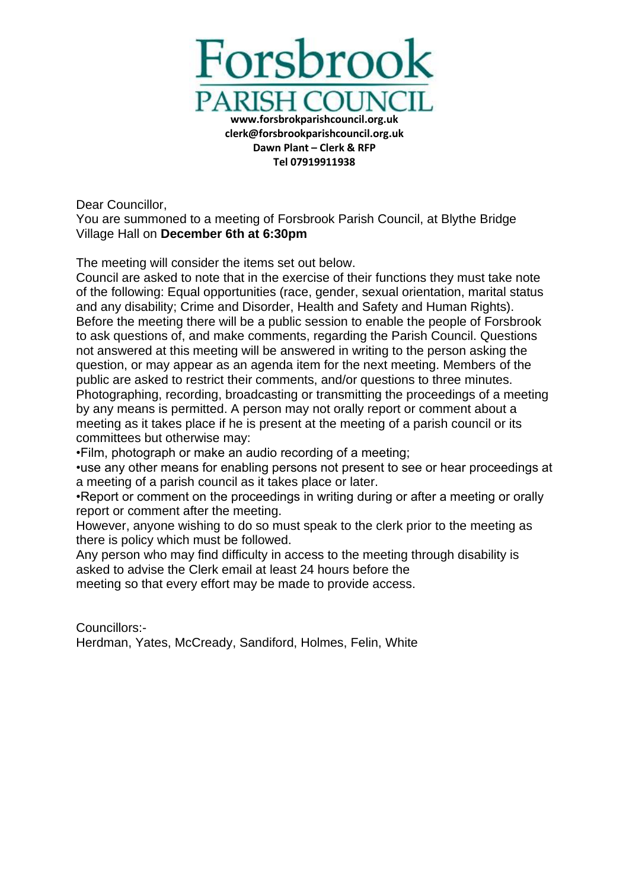

Dear Councillor,

You are summoned to a meeting of Forsbrook Parish Council, at Blythe Bridge Village Hall on **December 6th at 6:30pm**

The meeting will consider the items set out below.

Council are asked to note that in the exercise of their functions they must take note of the following: Equal opportunities (race, gender, sexual orientation, marital status and any disability; Crime and Disorder, Health and Safety and Human Rights). Before the meeting there will be a public session to enable the people of Forsbrook to ask questions of, and make comments, regarding the Parish Council. Questions not answered at this meeting will be answered in writing to the person asking the question, or may appear as an agenda item for the next meeting. Members of the public are asked to restrict their comments, and/or questions to three minutes. Photographing, recording, broadcasting or transmitting the proceedings of a meeting by any means is permitted. A person may not orally report or comment about a meeting as it takes place if he is present at the meeting of a parish council or its committees but otherwise may:

•Film, photograph or make an audio recording of a meeting;

•use any other means for enabling persons not present to see or hear proceedings at a meeting of a parish council as it takes place or later.

•Report or comment on the proceedings in writing during or after a meeting or orally report or comment after the meeting.

However, anyone wishing to do so must speak to the clerk prior to the meeting as there is policy which must be followed.

Any person who may find difficulty in access to the meeting through disability is asked to advise the Clerk email at least 24 hours before the

meeting so that every effort may be made to provide access.

Councillors:- Herdman, Yates, McCready, Sandiford, Holmes, Felin, White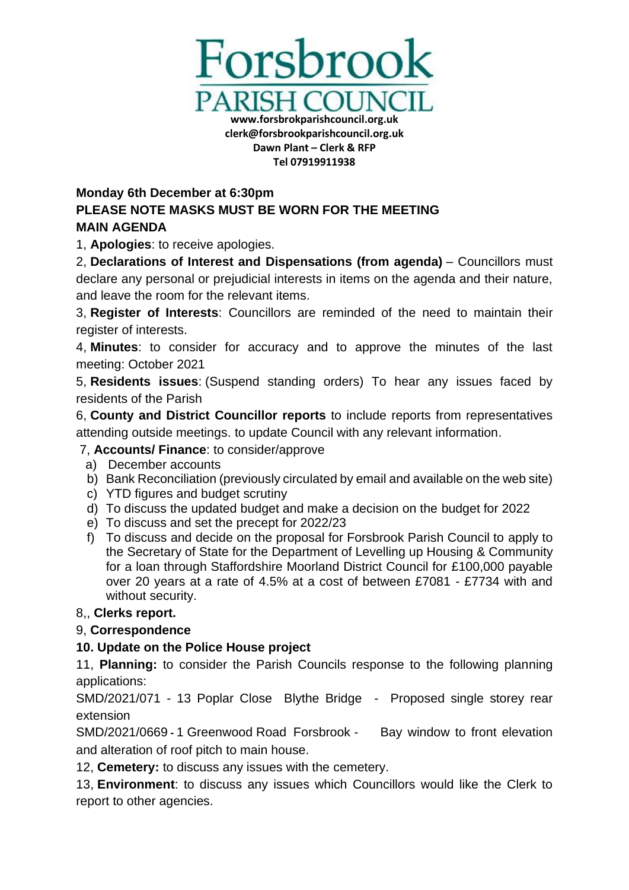

#### **Tel 07919911938**

#### **Monday 6th December at 6:30pm**

# **PLEASE NOTE MASKS MUST BE WORN FOR THE MEETING MAIN AGENDA**

1, **Apologies**: to receive apologies.

2, **Declarations of Interest and Dispensations (from agenda)** – Councillors must declare any personal or prejudicial interests in items on the agenda and their nature, and leave the room for the relevant items.

3, **Register of Interests**: Councillors are reminded of the need to maintain their register of interests.

4, **Minutes**: to consider for accuracy and to approve the minutes of the last meeting: October 2021

5, **Residents issues**: (Suspend standing orders) To hear any issues faced by residents of the Parish

6, **County and District Councillor reports** to include reports from representatives attending outside meetings. to update Council with any relevant information.

#### 7, **Accounts/ Finance**: to consider/approve

- a) December accounts
- b) Bank Reconciliation (previously circulated by email and available on the web site)
- c) YTD figures and budget scrutiny
- d) To discuss the updated budget and make a decision on the budget for 2022
- e) To discuss and set the precept for 2022/23
- f) To discuss and decide on the proposal for Forsbrook Parish Council to apply to the Secretary of State for the Department of Levelling up Housing & Community for a loan through Staffordshire Moorland District Council for £100,000 payable over 20 years at a rate of 4.5% at a cost of between £7081 - £7734 with and without security.

## 8,, **Clerks report.**

## 9, **Correspondence**

## **10. Update on the Police House project**

11, **Planning:** to consider the Parish Councils response to the following planning applications:

SMD/2021/071 - 13 Poplar Close Blythe Bridge - Proposed single storey rear extension

SMD/2021/0669 **-** 1 Greenwood Road Forsbrook - Bay window to front elevation and alteration of roof pitch to main house.

12, **Cemetery:** to discuss any issues with the cemetery.

13, **Environment**: to discuss any issues which Councillors would like the Clerk to report to other agencies.